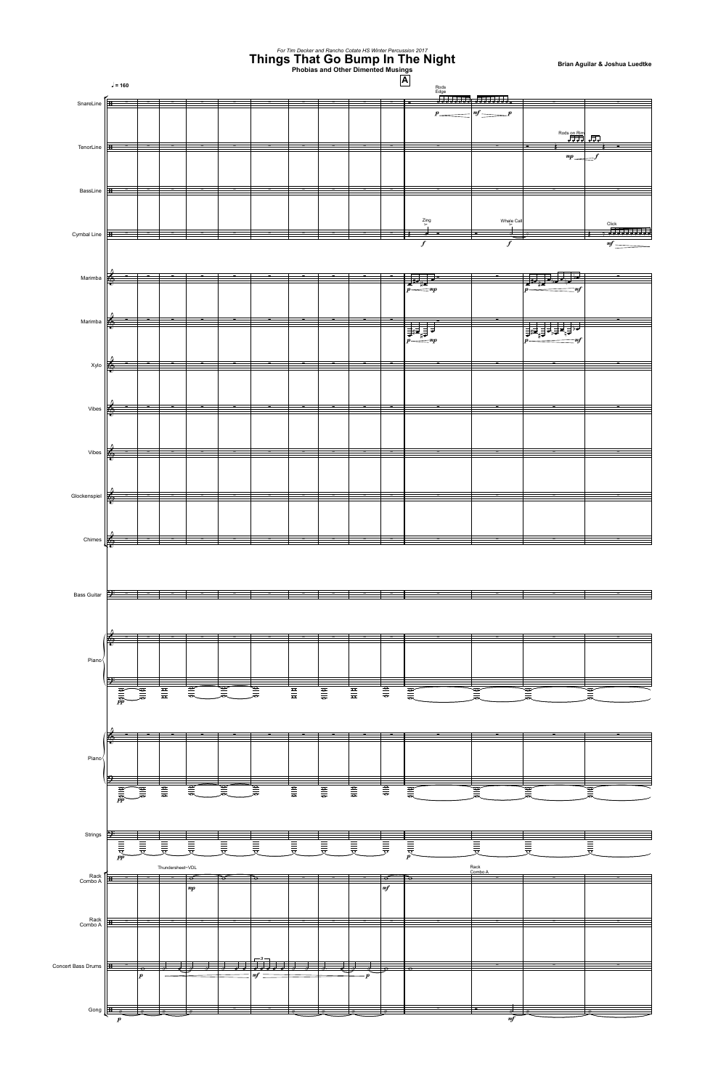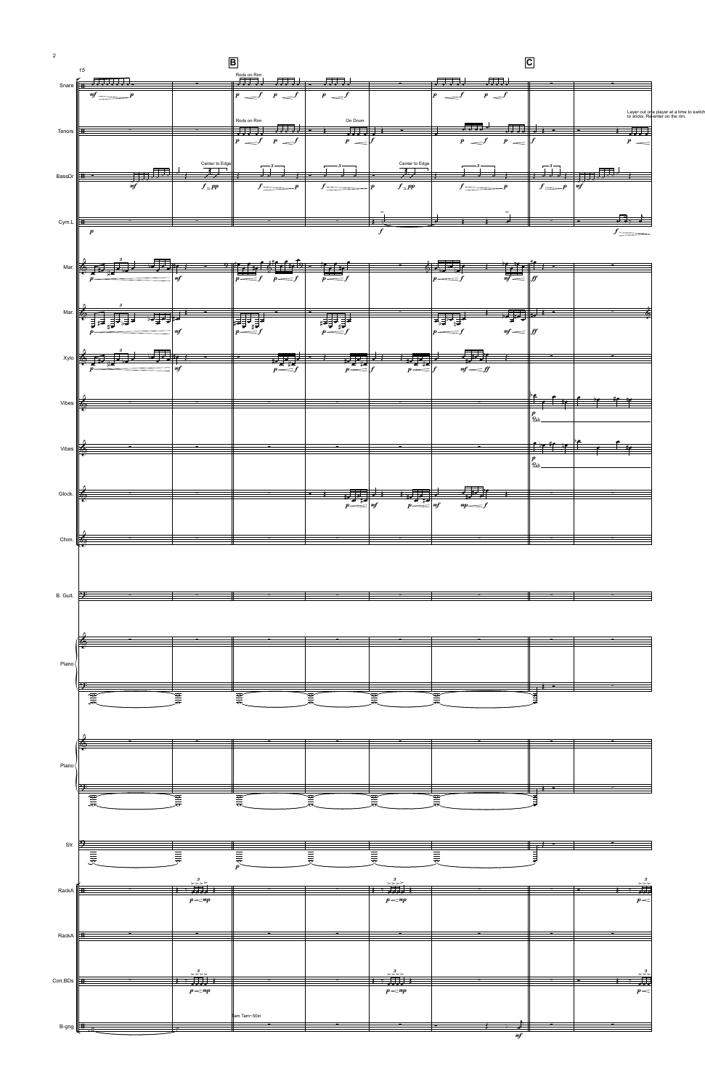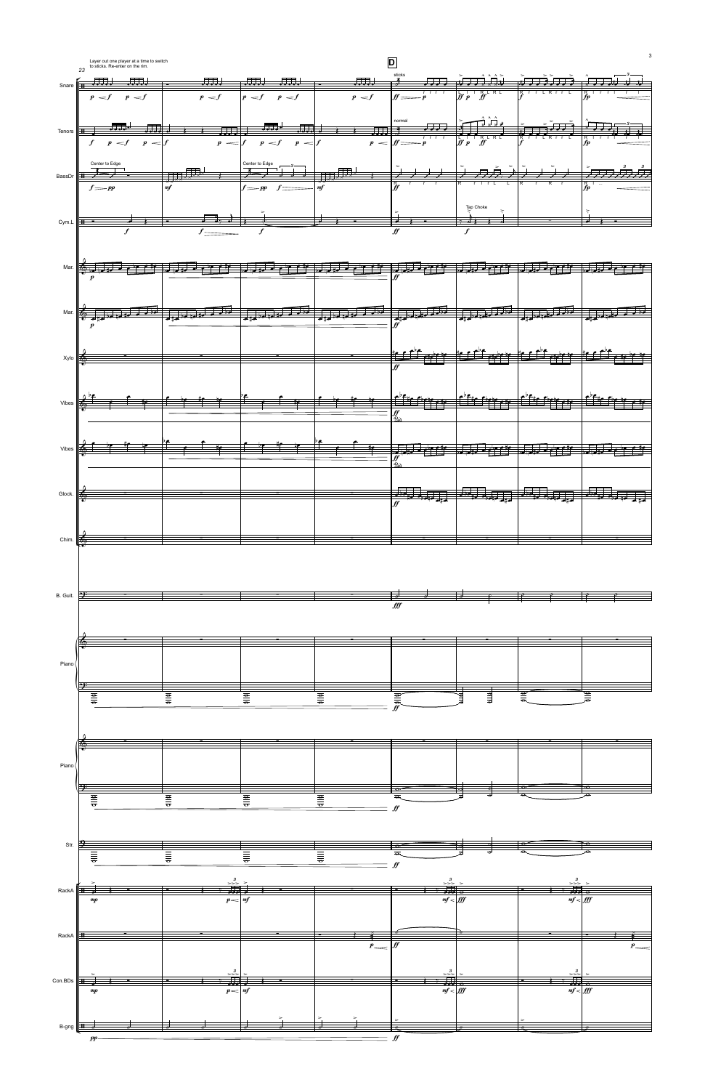